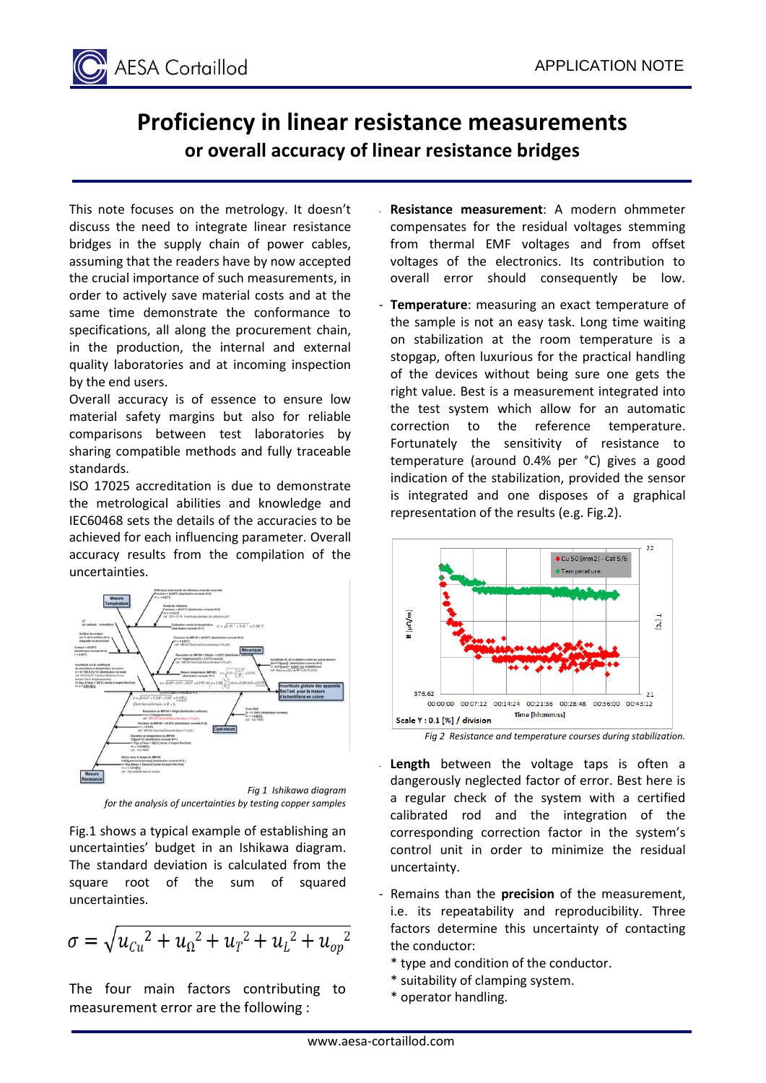

## **Proficiency in linear resistance measurements or overall accuracy of linear resistance bridges**

This note focuses on the metrology. It doesn't discuss the need to integrate linear resistance bridges in the supply chain of power cables, assuming that the readers have by now accepted the crucial importance of such measurements, in order to actively save material costs and at the same time demonstrate the conformance to specifications, all along the procurement chain, in the production, the internal and external quality laboratories and at incoming inspection by the end users.

Overall accuracy is of essence to ensure low material safety margins but also for reliable comparisons between test laboratories by sharing compatible methods and fully traceable standards.

ISO 17025 accreditation is due to demonstrate the metrological abilities and knowledge and IEC60468 sets the details of the accuracies to be achieved for each influencing parameter. Overall accuracy results from the compilation of the uncertainties.



*Fig 1 Ishikawa diagram for the analysis of uncertainties by testing copper samples*

Fig.1 shows a typical example of establishing an uncertainties' budget in an Ishikawa diagram. The standard deviation is calculated from the square root of the sum of squared uncertainties.

$$
\sigma = \sqrt{{u_{Cu}}^2 + {u_{\Omega}}^2 + {u_{T}}^2 + {u_{L}}^2 + {u_{op}}^2}
$$

The four main factors contributing to measurement error are the following :

- **Resistance measurement**: A modern ohmmeter compensates for the residual voltages stemming from thermal EMF voltages and from offset voltages of the electronics. Its contribution to overall error should consequently be low.
- **Temperature**: measuring an exact temperature of the sample is not an easy task. Long time waiting on stabilization at the room temperature is a stopgap, often luxurious for the practical handling of the devices without being sure one gets the right value. Best is a measurement integrated into the test system which allow for an automatic correction to the reference temperature. Fortunately the sensitivity of resistance to temperature (around 0.4% per °C) gives a good indication of the stabilization, provided the sensor is integrated and one disposes of a graphical representation of the results (e.g. Fig.2).





- Length between the voltage taps is often a dangerously neglected factor of error. Best here is a regular check of the system with a certified calibrated rod and the integration of the corresponding correction factor in the system's control unit in order to minimize the residual uncertainty.
- Remains than the **precision** of the measurement, i.e. its repeatability and reproducibility. Three factors determine this uncertainty of contacting the conductor:
	- \* type and condition of the conductor.
	- \* suitability of clamping system.
	- \* operator handling.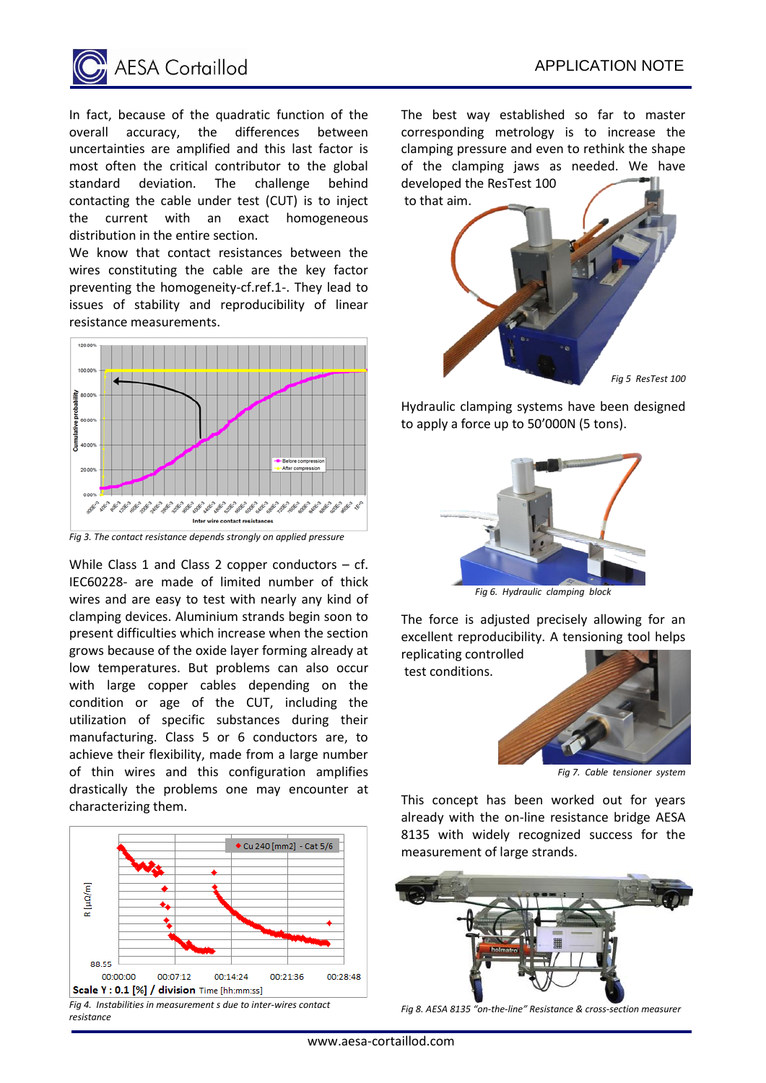

In fact, because of the quadratic function of the overall accuracy, the differences between uncertainties are amplified and this last factor is most often the critical contributor to the global standard deviation. The challenge behind contacting the cable under test (CUT) is to inject the current with an exact homogeneous distribution in the entire section.

We know that contact resistances between the wires constituting the cable are the key factor preventing the homogeneity-cf.ref.1-. They lead to issues of stability and reproducibility of linear resistance measurements.



*Fig 3. The contact resistance depends strongly on applied pressure*

While Class 1 and Class 2 copper conductors  $-$  cf. IEC60228- are made of limited number of thick wires and are easy to test with nearly any kind of clamping devices. Aluminium strands begin soon to present difficulties which increase when the section grows because of the oxide layer forming already at low temperatures. But problems can also occur with large copper cables depending on the condition or age of the CUT, including the utilization of specific substances during their manufacturing. Class 5 or 6 conductors are, to achieve their flexibility, made from a large number of thin wires and this configuration amplifies drastically the problems one may encounter at characterizing them.



*Fig 4. Instabilities in measurement s due to inter-wires contact resistance* 

The best way established so far to master corresponding metrology is to increase the clamping pressure and even to rethink the shape of the clamping jaws as needed. We have developed the ResTest 100



Hydraulic clamping systems have been designed to apply a force up to 50'000N (5 tons).



*Fig 6. Hydraulic clamping block*

The force is adjusted precisely allowing for an excellent reproducibility. A tensioning tool helps replicating controlled

test conditions.



*Fig 7. Cable tensioner system*

This concept has been worked out for years already with the on-line resistance bridge AESA 8135 with widely recognized success for the measurement of large strands.



*Fig 8. AESA 8135 "on-the-line" Resistance & cross-section measurer*